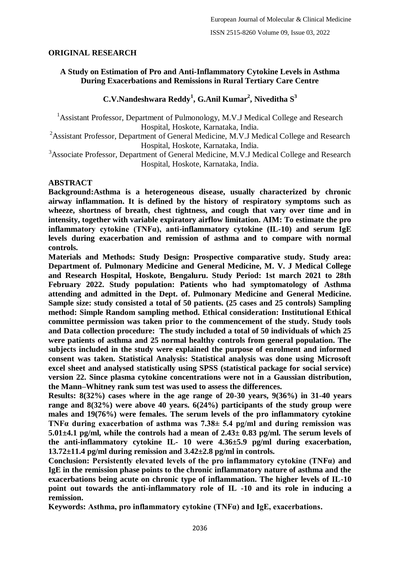# **ORIGINAL RESEARCH**

# **A Study on Estimation of Pro and Anti-Inflammatory Cytokine Levels in Asthma During Exacerbations and Remissions in Rural Tertiary Care Centre**

# **C.V.Nandeshwara Reddy<sup>1</sup> , G.Anil Kumar<sup>2</sup> , Niveditha S<sup>3</sup>**

<sup>1</sup> Assistant Professor, Department of Pulmonology, M.V.J Medical College and Research Hospital, Hoskote, Karnataka, India.

<sup>2</sup>Assistant Professor, Department of General Medicine, M.V.J Medical College and Research Hospital, Hoskote, Karnataka, India.

<sup>3</sup>Associate Professor, Department of General Medicine, M.V.J Medical College and Research Hospital, Hoskote, Karnataka, India.

### **ABSTRACT**

**Background:Asthma is a heterogeneous disease, usually characterized by chronic airway inflammation. It is defined by the history of respiratory symptoms such as wheeze, shortness of breath, chest tightness, and cough that vary over time and in intensity, together with variable expiratory airflow limitation. AIM: To estimate the pro inflammatory cytokine (TNFα), anti-inflammatory cytokine (IL-10) and serum IgE levels during exacerbation and remission of asthma and to compare with normal controls.**

**Materials and Methods: Study Design: Prospective comparative study. Study area: Department of. Pulmonary Medicine and General Medicine, M. V. J Medical College and Research Hospital, Hoskote, Bengaluru. Study Period: 1st march 2021 to 28th February 2022. Study population: Patients who had symptomatology of Asthma attending and admitted in the Dept. of. Pulmonary Medicine and General Medicine. Sample size: study consisted a total of 50 patients. (25 cases and 25 controls) Sampling method: Simple Random sampling method. Ethical consideration: Institutional Ethical committee permission was taken prior to the commencement of the study. Study tools and Data collection procedure: The study included a total of 50 individuals of which 25 were patients of asthma and 25 normal healthy controls from general population. The subjects included in the study were explained the purpose of enrolment and informed consent was taken. Statistical Analysis: Statistical analysis was done using Microsoft excel sheet and analysed statistically using SPSS (statistical package for social service) version 22. Since plasma cytokine concentrations were not in a Gaussian distribution, the Mann–Whitney rank sum test was used to assess the differences.**

**Results: 8(32%) cases where in the age range of 20-30 years, 9(36%) in 31-40 years range and 8(32%) were above 40 years. 6(24%) participants of the study group were males and 19(76%) were females. The serum levels of the pro inflammatory cytokine TNFα during exacerbation of asthma was 7.38± 5.4 pg/ml and during remission was 5.01±4.1 pg/ml, while the controls had a mean of 2.43± 0.83 pg/ml. The serum levels of the anti-inflammatory cytokine IL- 10 were 4.36±5.9 pg/ml during exacerbation, 13.72±11.4 pg/ml during remission and 3.42±2.8 pg/ml in controls.**

**Conclusion: Persistently elevated levels of the pro inflammatory cytokine (TNFα) and IgE in the remission phase points to the chronic inflammatory nature of asthma and the exacerbations being acute on chronic type of inflammation. The higher levels of IL-10 point out towards the anti-inflammatory role of IL -10 and its role in inducing a remission.**

**Keywords: Asthma, pro inflammatory cytokine (TNFα) and IgE, exacerbations.**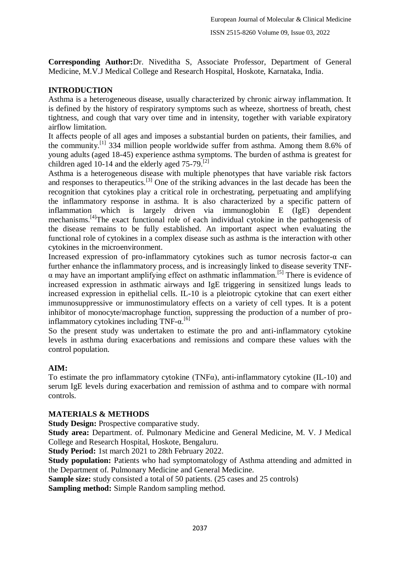**Corresponding Author:**Dr. Niveditha S, Associate Professor, Department of General Medicine, M.V.J Medical College and Research Hospital, Hoskote, Karnataka, India.

# **INTRODUCTION**

Asthma is a heterogeneous disease, usually characterized by chronic airway inflammation. It is defined by the history of respiratory symptoms such as wheeze, shortness of breath, chest tightness, and cough that vary over time and in intensity, together with variable expiratory airflow limitation.

It affects people of all ages and imposes a substantial burden on patients, their families, and the community.[1] 334 million people worldwide suffer from asthma. Among them 8.6% of young adults (aged 18-45) experience asthma symptoms. The burden of asthma is greatest for children aged 10-14 and the elderly aged  $75-79$ .<sup>[2]</sup>

Asthma is a heterogeneous disease with multiple phenotypes that have variable risk factors and responses to therapeutics.<sup>[3]</sup> One of the striking advances in the last decade has been the recognition that cytokines play a critical role in orchestrating, perpetuating and amplifying the inflammatory response in asthma. It is also characterized by a specific pattern of inflammation which is largely driven via immunoglobin E (IgE) dependent mechanisms.[4]The exact functional role of each individual cytokine in the pathogenesis of the disease remains to be fully established. An important aspect when evaluating the functional role of cytokines in a complex disease such as asthma is the interaction with other cytokines in the microenvironment.

Increased expression of pro-inflammatory cytokines such as tumor necrosis factor-α can further enhance the inflammatory process, and is increasingly linked to disease severity TNF- $\alpha$  may have an important amplifying effect on asthmatic inflammation.<sup>[5]</sup> There is evidence of increased expression in asthmatic airways and IgE triggering in sensitized lungs leads to increased expression in epithelial cells. IL-10 is a pleiotropic cytokine that can exert either immunosuppressive or immunostimulatory effects on a variety of cell types. It is a potent inhibitor of monocyte/macrophage function, suppressing the production of a number of proinflammatory cytokines including  $TNF-\alpha$ .<sup>[6]</sup>

So the present study was undertaken to estimate the pro and anti-inflammatory cytokine levels in asthma during exacerbations and remissions and compare these values with the control population.

# **AIM:**

To estimate the pro inflammatory cytokine (TNFα), anti-inflammatory cytokine (IL-10) and serum IgE levels during exacerbation and remission of asthma and to compare with normal controls.

# **MATERIALS & METHODS**

**Study Design:** Prospective comparative study.

**Study area:** Department. of. Pulmonary Medicine and General Medicine, M. V. J Medical College and Research Hospital, Hoskote, Bengaluru.

**Study Period:** 1st march 2021 to 28th February 2022.

**Study population:** Patients who had symptomatology of Asthma attending and admitted in the Department of. Pulmonary Medicine and General Medicine.

**Sample size:** study consisted a total of 50 patients. (25 cases and 25 controls)

**Sampling method:** Simple Random sampling method.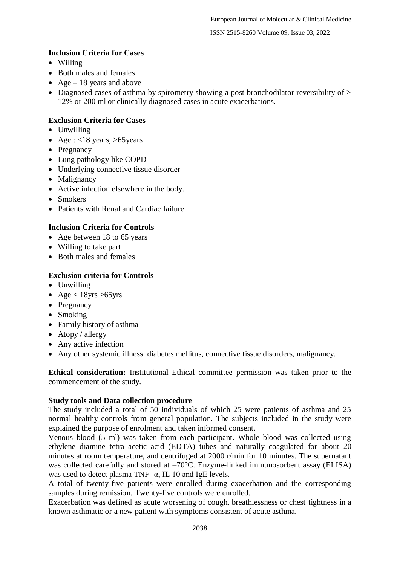ISSN 2515-8260 Volume 09, Issue 03, 2022

# **Inclusion Criteria for Cases**

- Willing
- Both males and females
- Age 18 years and above
- $\bullet$  Diagnosed cases of asthma by spirometry showing a post bronchodilator reversibility of  $>$ 12% or 200 ml or clinically diagnosed cases in acute exacerbations.

# **Exclusion Criteria for Cases**

- Unwilling
- Age :  $<18$  years,  $>65$  years
- Pregnancy
- Lung pathology like COPD
- Underlying connective tissue disorder
- Malignancy
- Active infection elsewhere in the body.
- Smokers
- Patients with Renal and Cardiac failure

# **Inclusion Criteria for Controls**

- Age between 18 to 65 years
- Willing to take part
- Both males and females

### **Exclusion criteria for Controls**

- Unwilling
- Age  $<$  18yrs > 65 yrs
- Pregnancy
- Smoking
- Family history of asthma
- $\bullet$  Atopy / allergy
- Any active infection
- Any other systemic illness: diabetes mellitus, connective tissue disorders, malignancy.

**Ethical consideration:** Institutional Ethical committee permission was taken prior to the commencement of the study.

#### **Study tools and Data collection procedure**

The study included a total of 50 individuals of which 25 were patients of asthma and 25 normal healthy controls from general population. The subjects included in the study were explained the purpose of enrolment and taken informed consent.

Venous blood (5 ml) was taken from each participant. Whole blood was collected using ethylene diamine tetra acetic acid (EDTA) tubes and naturally coagulated for about 20 minutes at room temperature, and centrifuged at 2000 r/min for 10 minutes. The supernatant was collected carefully and stored at  $-70^{\circ}$ C. Enzyme-linked immunosorbent assay (ELISA) was used to detect plasma TNF- α, IL 10 and IgE levels.

A total of twenty-five patients were enrolled during exacerbation and the corresponding samples during remission. Twenty-five controls were enrolled.

Exacerbation was defined as acute worsening of cough, breathlessness or chest tightness in a known asthmatic or a new patient with symptoms consistent of acute asthma.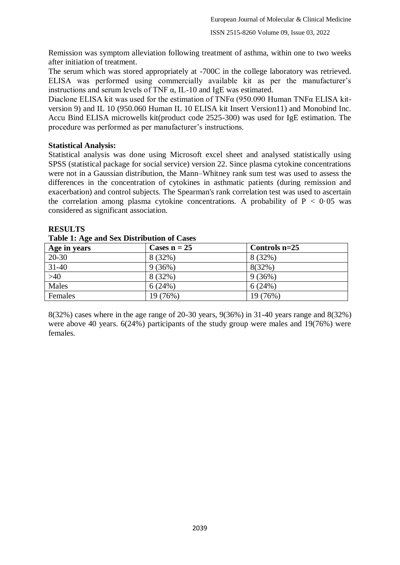Remission was symptom alleviation following treatment of asthma, within one to two weeks after initiation of treatment.

The serum which was stored appropriately at -700C in the college laboratory was retrieved. ELISA was performed using commercially available kit as per the manufacturer's instructions and serum levels of TNF  $\alpha$ , IL-10 and IgE was estimated.

Diaclone ELISA kit was used for the estimation of TNFα (950.090 Human TNFα ELISA kitversion 9) and IL 10 (950.060 Human IL 10 ELISA kit Insert Version11) and Monobind Inc. Accu Bind ELISA microwells kit(product code 2525-300) was used for IgE estimation. The procedure was performed as per manufacturer's instructions.

# **Statistical Analysis:**

Statistical analysis was done using Microsoft excel sheet and analysed statistically using SPSS (statistical package for social service) version 22. Since plasma cytokine concentrations were not in a Gaussian distribution, the Mann–Whitney rank sum test was used to assess the differences in the concentration of cytokines in asthmatic patients (during remission and exacerbation) and control subjects. The Spearman's rank correlation test was used to ascertain the correlation among plasma cytokine concentrations. A probability of  $P < 0.05$  was considered as significant association.

### **RESULTS**

| Tuble 1: ALC and Dex Distribution of Cases |                |                 |  |  |  |  |  |
|--------------------------------------------|----------------|-----------------|--|--|--|--|--|
| Age in years                               | Cases $n = 25$ | Controls $n=25$ |  |  |  |  |  |
| $20 - 30$                                  | 8 (32%)        | 8 (32%)         |  |  |  |  |  |
| $31 - 40$                                  | 9(36%)         | 8(32%)          |  |  |  |  |  |
| $>40$                                      | 8 (32%)        | 9(36%)          |  |  |  |  |  |
| Males                                      | 6(24%)         | 6(24%)          |  |  |  |  |  |
| Females                                    | 19 (76%)       | 19 (76%)        |  |  |  |  |  |

### **Table 1: Age and Sex Distribution of Cases**

8(32%) cases where in the age range of 20-30 years, 9(36%) in 31-40 years range and 8(32%) were above 40 years. 6(24%) participants of the study group were males and 19(76%) were females.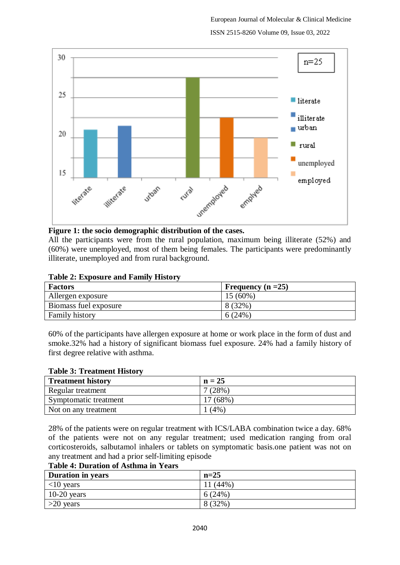

#### **Figure 1: the socio demographic distribution of the cases.**

All the participants were from the rural population, maximum being illiterate (52%) and (60%) were unemployed, most of them being females. The participants were predominantly illiterate, unemployed and from rural background.

| <b>Factors</b>        | Frequency $(n = 25)$ |
|-----------------------|----------------------|
| Allergen exposure     | $15(60\%)$           |
| Biomass fuel exposure | 8 (32%)              |
| <b>Family history</b> | 6(24%)               |

60% of the participants have allergen exposure at home or work place in the form of dust and smoke.32% had a history of significant biomass fuel exposure. 24% had a family history of first degree relative with asthma.

#### **Table 3: Treatment History**

| <b>Treatment history</b> | $n = 25$   |
|--------------------------|------------|
| Regular treatment        | $7(28\%)$  |
| Symptomatic treatment    | $17(68\%)$ |
| Not on any treatment     | (4%        |

28% of the patients were on regular treatment with ICS/LABA combination twice a day. 68% of the patients were not on any regular treatment; used medication ranging from oral corticosteroids, salbutamol inhalers or tablets on symptomatic basis.one patient was not on any treatment and had a prior self-limiting episode

#### **Table 4: Duration of Asthma in Years**

| <b>Duration in years</b> | $n=25$    |
|--------------------------|-----------|
| $<$ 10 years             | $(44\%$   |
| $10-20$ years            | 6(24%)    |
| $>20$ years              | $8(32\%)$ |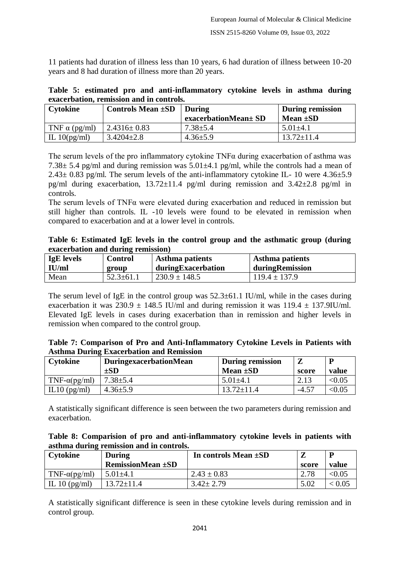11 patients had duration of illness less than 10 years, 6 had duration of illness between 10-20 years and 8 had duration of illness more than 20 years.

|  |                                          |  | Table 5: estimated pro and anti-inflammatory cytokine levels in asthma during |  |  |  |
|--|------------------------------------------|--|-------------------------------------------------------------------------------|--|--|--|
|  | exacerbation, remission and in controls. |  |                                                                               |  |  |  |

| Cytokine             | Controls Mean $\pm SD$ | <b>During</b>        | During remission |
|----------------------|------------------------|----------------------|------------------|
|                      |                        | exacerbationMean± SD | Mean $\pm SD$    |
| TNF $\alpha$ (pg/ml) | $2.4316 \pm 0.83$      | $7.38 \pm 5.4$       | $5.01 \pm 4.1$   |
| IL $10(pg/ml)$       | $3.4204 \pm 2.8$       | $4.36 \pm 5.9$       | $13.72 \pm 11.4$ |

The serum levels of the pro inflammatory cytokine  $TNF\alpha$  during exacerbation of asthma was 7.38 $\pm$  5.4 pg/ml and during remission was 5.01 $\pm$ 4.1 pg/ml, while the controls had a mean of  $2.43\pm 0.83$  pg/ml. The serum levels of the anti-inflammatory cytokine IL- 10 were  $4.36\pm 5.9$ pg/ml during exacerbation,  $13.72 \pm 11.4$  pg/ml during remission and  $3.42 \pm 2.8$  pg/ml in controls.

The serum levels of TNFα were elevated during exacerbation and reduced in remission but still higher than controls. IL -10 levels were found to be elevated in remission when compared to exacerbation and at a lower level in controls.

|                                    |  |  |  |  | Table 6: Estimated IgE levels in the control group and the asthmatic group (during |  |
|------------------------------------|--|--|--|--|------------------------------------------------------------------------------------|--|
| exacerbation and during remission) |  |  |  |  |                                                                                    |  |

| <b>IgE</b> levels | <b>Control</b>  | Asthma patients    | Asthma patients   |
|-------------------|-----------------|--------------------|-------------------|
| IU/ml             | group           | duringExacerbation | duringRemission   |
| Mean              | $52.3 \pm 61.1$ | $230.9 \pm 148.5$  | $119.4 \pm 137.9$ |

The serum level of IgE in the control group was  $52.3\pm61.1$  IU/ml, while in the cases during exacerbation it was  $230.9 \pm 148.5$  IU/ml and during remission it was  $119.4 \pm 137.9$ IU/ml. Elevated IgE levels in cases during exacerbation than in remission and higher levels in remission when compared to the control group.

| Table 7: Comparison of Pro and Anti-Inflammatory Cytokine Levels in Patients with |  |  |
|-----------------------------------------------------------------------------------|--|--|
| <b>Asthma During Exacerbation and Remission</b>                                   |  |  |

| <b>Cytokine</b>     | DuringexacerbationMean | <b>During remission</b> |         |        |
|---------------------|------------------------|-------------------------|---------|--------|
|                     | $\pm SD$               | Mean $\pm SD$           | score   | value  |
| $TNF-\alpha(pg/ml)$ | $7.38 \pm 5.4$         | $5.01 \pm 4.1$          | 2.13    | < 0.05 |
| IL10 $(pg/ml)$      | $4.36 \pm 5.9$         | $13.72 \pm 11.4$        | $-4.57$ | < 0.05 |

A statistically significant difference is seen between the two parameters during remission and exacerbation.

| Table 8: Comparision of pro and anti-inflammatory cytokine levels in patients with |  |  |  |  |  |  |
|------------------------------------------------------------------------------------|--|--|--|--|--|--|
| asthma during remission and in controls.                                           |  |  |  |  |  |  |

| Cytokine              | <b>During</b>            | In controls Mean $\pm SD$ |       | D      |
|-----------------------|--------------------------|---------------------------|-------|--------|
|                       | <b>RemissionMean ±SD</b> |                           | score | value  |
| TNF- $\alpha$ (pg/ml) | $5.01 \pm 4.1$           | $2.43 \pm 0.83$           | 2.78  | < 0.05 |
| IL 10 $(pg/ml)$       | $13.72 \pm 11.4$         | $3.42 \pm 2.79$           | 5.02  | < 0.05 |

A statistically significant difference is seen in these cytokine levels during remission and in control group.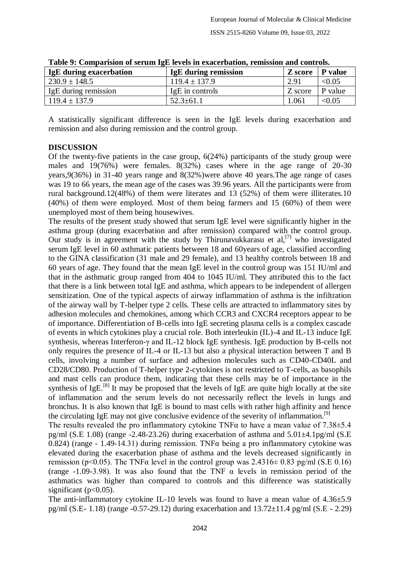| <b>IgE</b> during exacerbation | <b>IgE</b> during remission | Z score   P value |                    |
|--------------------------------|-----------------------------|-------------------|--------------------|
| $230.9 \pm 148.5$              | $119.4 \pm 137.9$           | 2.91              | < 0.05             |
| IgE during remission           | IgE in controls             | Z score           | $\mathsf{P}$ value |
| $119.4 \pm 137.9$              | $52.3 \pm 61.1$             | 1.061             | < 0.05             |

**Table 9: Comparision of serum IgE levels in exacerbation, remission and controls.**

A statistically significant difference is seen in the IgE levels during exacerbation and remission and also during remission and the control group.

### **DISCUSSION**

Of the twenty-five patients in the case group, 6(24%) participants of the study group were males and 19(76%) were females. 8(32%) cases where in the age range of 20-30 years,9(36%) in 31-40 years range and 8(32%)were above 40 years.The age range of cases was 19 to 66 years, the mean age of the cases was 39.96 years. All the participants were from rural background.12(48%) of them were literates and 13 (52%) of them were illiterates.10 (40%) of them were employed. Most of them being farmers and 15 (60%) of them were unemployed most of them being housewives.

The results of the present study showed that serum IgE level were significantly higher in the asthma group (during exacerbation and after remission) compared with the control group. Our study is in agreement with the study by Thirunavukkarasu et al,<sup>[7]</sup> who investigated serum IgE level in 60 asthmatic patients between 18 and 60years of age, classified according to the GINA classification (31 male and 29 female), and 13 healthy controls between 18 and 60 years of age. They found that the mean IgE level in the control group was 151 IU/ml and that in the asthmatic group ranged from 404 to 1045 IU/ml. They attributed this to the fact that there is a link between total IgE and asthma, which appears to be independent of allergen sensitization. One of the typical aspects of airway inflammation of asthma is the infiltration of the airway wall by T-helper type 2 cells. These cells are attracted to inflammatory sites by adhesion molecules and chemokines, among which CCR3 and CXCR4 receptors appear to be of importance. Differentiation of B-cells into IgE secreting plasma cells is a complex cascade of events in which cytokines play a crucial role. Both interleukin (IL)-4 and IL-13 induce IgE synthesis, whereas Interferon-γ and IL-12 block IgE synthesis. IgE production by B-cells not only requires the presence of IL-4 or IL-13 but also a physical interaction between T and B cells, involving a number of surface and adhesion molecules such as CD40-CD40L and CD28/CD80. Production of T-helper type 2-cytokines is not restricted to T-cells, as basophils and mast cells can produce them, indicating that these cells may be of importance in the synthesis of IgE.<sup>[8]</sup> It may be proposed that the levels of IgE are quite high locally at the site of inflammation and the serum levels do not necessarily reflect the levels in lungs and bronchus. It is also known that IgE is bound to mast cells with rather high affinity and hence the circulating IgE may not give conclusive evidence of the severity of inflammation.<sup>[9]</sup>

The results revealed the pro inflammatory cytokine TNFα to have a mean value of 7.38±5.4 pg/ml (S.E 1.08) (range  $-2.48-23.26$ ) during exacerbation of asthma and  $5.01\pm4.1$ pg/ml (S.E 0.824) (range - 1.49-14.31) during remission. TNFα being a pro inflammatory cytokine was elevated during the exacerbation phase of asthma and the levels decreased significantly in remission (p<0.05). The TNF $\alpha$  level in the control group was 2.4316 $\pm$  0.83 pg/ml (S.E 0.16) (range -1.09-3.98). It was also found that the TNF  $\alpha$  levels in remission period of the asthmatics was higher than compared to controls and this difference was statistically significant ( $p<0.05$ ).

The anti-inflammatory cytokine IL-10 levels was found to have a mean value of 4.36±5.9 pg/ml (S.E- 1.18) (range -0.57-29.12) during exacerbation and  $13.72 \pm 11.4$  pg/ml (S.E - 2.29)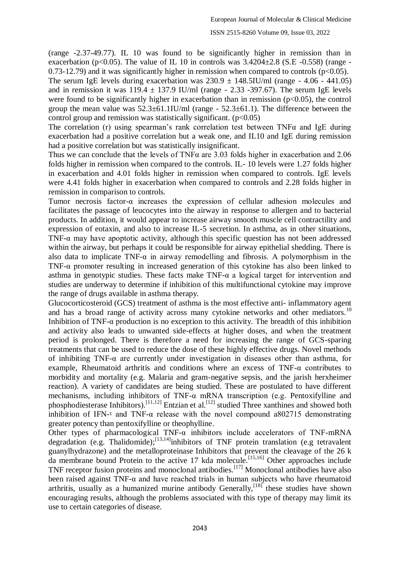(range -2.37-49.77). IL 10 was found to be significantly higher in remission than in exacerbation (p<0.05). The value of IL 10 in controls was  $3.4204 \pm 2.8$  (S.E -0.558) (range - $0.73-12.79$  and it was significantly higher in remission when compared to controls ( $p<0.05$ ).

The serum IgE levels during exacerbation was  $230.9 \pm 148.5$ IU/ml (range - 4.06 - 441.05) and in remission it was  $119.4 \pm 137.9$  IU/ml (range - 2.33 -397.67). The serum IgE levels were found to be significantly higher in exacerbation than in remission  $(p<0.05)$ , the control group the mean value was  $52.3\pm61.1$ IU/ml (range -  $52.3\pm61.1$ ). The difference between the control group and remission was statistically significant.  $(p<0.05)$ 

The correlation (r) using spearman's rank correlation test between TNFα and IgE during exacerbation had a positive correlation but a weak one, and IL10 and IgE during remission had a positive correlation but was statistically insignificant.

Thus we can conclude that the levels of TNF $\alpha$  are 3.03 folds higher in exacerbation and 2.06 folds higher in remission when compared to the controls. IL- 10 levels were 1.27 folds higher in exacerbation and 4.01 folds higher in remission when compared to controls. IgE levels were 4.41 folds higher in exacerbation when compared to controls and 2.28 folds higher in remission in comparison to controls.

Tumor necrosis factor- $\alpha$  increases the expression of cellular adhesion molecules and facilitates the passage of leucocytes into the airway in response to allergen and to bacterial products. In addition, it would appear to increase airway smooth muscle cell contractility and expression of eotaxin, and also to increase IL-5 secretion. In asthma, as in other situations, TNF- $\alpha$  may have apoptotic activity, although this specific question has not been addressed within the airway, but perhaps it could be responsible for airway epithelial shedding. There is also data to implicate TNF- $\alpha$  in airway remodelling and fibrosis. A polymorphism in the TNF-α promoter resulting in increased generation of this cytokine has also been linked to asthma in genotypic studies. These facts make  $TNF-\alpha$  a logical target for intervention and studies are underway to determine if inhibition of this multifunctional cytokine may improve the range of drugs available in asthma therapy.

Glucocorticosteroid (GCS) treatment of asthma is the most effective anti- inflammatory agent and has a broad range of activity across many cytokine networks and other mediators.<sup>10</sup> Inhibition of TNF-α production is no exception to this activity. The breadth of this inhibition and activity also leads to unwanted side-effects at higher doses, and when the treatment period is prolonged. There is therefore a need for increasing the range of GCS-sparing treatments that can be used to reduce the dose of these highly effective drugs. Novel methods of inhibiting TNF-α are currently under investigation in diseases other than asthma, for example, Rheumatoid arthritis and conditions where an excess of TNF-α contributes to morbidity and mortality (e.g. Malaria and gram-negative sepsis, and the jarish herxheimer reaction). A variety of candidates are being studied. These are postulated to have different mechanisms, including inhibitors of TNF- $\alpha$  mRNA transcription (e.g. Pentoxifylline and phosphodiesterase Inhibitors).<sup>[11,12]</sup> Entzian et al.<sup>[12]</sup> studied Three xanthines and showed both inhibition of IFN- $\alpha$  and TNF- $\alpha$  release with the novel compound a802715 demonstrating greater potency than pentoxifylline or theophylline.

Other types of pharmacological TNF-α inhibitors include accelerators of TNF-mRNA degradation (e.g. Thalidomide);<sup>[13,14]</sup>inhibitors of TNF protein translation (e.g tetravalent guanylhydrazone) and the metalloproteinase Inhibitors that prevent the cleavage of the 26 k da membrane bound Protein to the active 17 kda molecule.<sup>[15,16]</sup> Other approaches include TNF receptor fusion proteins and monoclonal antibodies.<sup>[17]</sup> Monoclonal antibodies have also been raised against TNF- $\alpha$  and have reached trials in human subjects who have rheumatoid arthritis, usually as a humanized murine antibody Generally,  $[18]$  these studies have shown encouraging results, although the problems associated with this type of therapy may limit its use to certain categories of disease.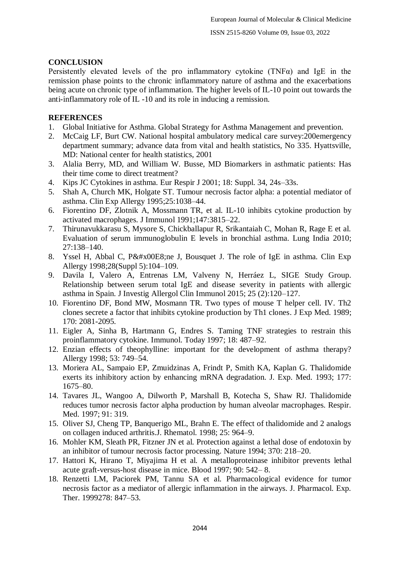# **CONCLUSION**

Persistently elevated levels of the pro inflammatory cytokine (TNFα) and IgE in the remission phase points to the chronic inflammatory nature of asthma and the exacerbations being acute on chronic type of inflammation. The higher levels of IL-10 point out towards the anti-inflammatory role of IL -10 and its role in inducing a remission.

### **REFERENCES**

- 1. Global Initiative for Asthma. Global Strategy for Asthma Management and prevention.
- 2. McCaig LF, Burt CW. National hospital ambulatory medical care survey:200emergency department summary; advance data from vital and health statistics, No 335. Hyattsville, MD: National center for health statistics, 2001
- 3. Alalia Berry, MD, and William W. Busse, MD Biomarkers in asthmatic patients: Has their time come to direct treatment?
- 4. Kips JC Cytokines in asthma. Eur Respir J 2001; 18: Suppl. 34, 24s–33s.
- 5. Shah A, Church MK, Holgate ST. Tumour necrosis factor alpha: a potential mediator of asthma. Clin Exp Allergy 1995;25:1038–44.
- 6. Fiorentino DF, Zlotnik A, Mossmann TR, et al. IL-10 inhibits cytokine production by activated macrophages. J Immunol 1991;147:3815–22.
- 7. Thirunavukkarasu S, Mysore S, Chickballapur R, Srikantaiah C, Mohan R, Rage E et al. Evaluation of serum immunoglobulin E levels in bronchial asthma. Lung India 2010; 27:138–140.
- 8. Yssel H, Abbal C, Pène J, Bousquet J. The role of IgE in asthma. Clin Exp Allergy 1998;28(Suppl 5):104–109.
- 9. Davila I, Valero A, Entrenas LM, Valveny N, Herráez L, SIGE Study Group. Relationship between serum total IgE and disease severity in patients with allergic asthma in Spain. J Investig Allergol Clin Immunol 2015; 25 (2):120–127.
- 10. Fiorentino DF, Bond MW, Mosmann TR. Two types of mouse T helper cell. IV. Th2 clones secrete a factor that inhibits cytokine production by Th1 clones. J Exp Med. 1989; 170: 2081-2095.
- 11. Eigler A, Sinha B, Hartmann G, Endres S. Taming TNF strategies to restrain this proinflammatory cytokine. Immunol. Today 1997; 18: 487–92.
- 12. Enzian effects of theophylline: important for the development of asthma therapy? Allergy 1998; 53: 749–54.
- 13. Moriera AL, Sampaio EP, Zmuidzinas A, Frindt P, Smith KA, Kaplan G. Thalidomide exerts its inhibitory action by enhancing mRNA degradation. J. Exp. Med. 1993; 177: 1675–80.
- 14. Tavares JL, Wangoo A, Dilworth P, Marshall B, Kotecha S, Shaw RJ. Thalidomide reduces tumor necrosis factor alpha production by human alveolar macrophages. Respir. Med. 1997; 91: 319.
- 15. Oliver SJ, Cheng TP, Banquerigo ML, Brahn E. The effect of thalidomide and 2 analogs on collagen induced arthritis.J. Rhematol. 1998; 25: 964–9.
- 16. Mohler KM, Sleath PR, Fitzner JN et al. Protection against a lethal dose of endotoxin by an inhibitor of tumour necrosis factor processing. Nature 1994; 370: 218–20.
- 17. Hattori K, Hirano T, Miyajima H et al. A metalloproteinase inhibitor prevents lethal acute graft-versus-host disease in mice. Blood 1997; 90: 542– 8.
- 18. Renzetti LM, Paciorek PM, Tannu SA et al. Pharmacological evidence for tumor necrosis factor as a mediator of allergic inflammation in the airways. J. Pharmacol. Exp. Ther. 1999278: 847–53.